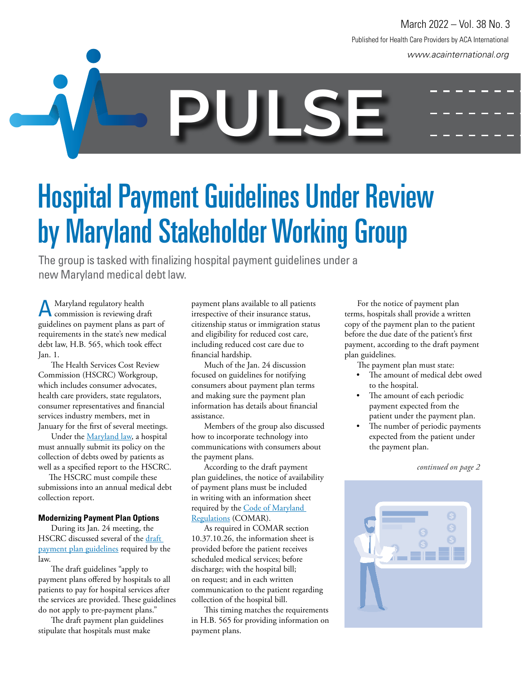www.acainternational.org Published for Health Care Providers by ACA International March 2022 – Vol. 38 No. 3

# Hospital Payment Guidelines Under Review by Maryland Stakeholder Working Group

**PULSE**

The group is tasked with finalizing hospital payment guidelines under a new Maryland medical debt law.

Maryland regulatory health commission is reviewing draft guidelines on payment plans as part of requirements in the state's new medical debt law, H.B. 565, which took effect Jan. 1.

The Health Services Cost Review Commission (HSCRC) Workgroup, which includes consumer advocates, health care providers, state regulators, consumer representatives and financial services industry members, met in January for the first of several meetings.

Under the Maryland law, a hospital must annually submit its policy on the collection of debts owed by patients as well as a specified report to the HSCRC.

 The HSCRC must compile these submissions into an annual medical debt collection report.

#### **Modernizing Payment Plan Options**

During its Jan. 24 meeting, the HSCRC discussed several of the draft payment plan guidelines required by the law.

The draft guidelines "apply to payment plans offered by hospitals to all patients to pay for hospital services after the services are provided. These guidelines do not apply to pre-payment plans."

The draft payment plan guidelines stipulate that hospitals must make

payment plans available to all patients irrespective of their insurance status, citizenship status or immigration status and eligibility for reduced cost care, including reduced cost care due to financial hardship.

Much of the Jan. 24 discussion focused on guidelines for notifying consumers about payment plan terms and making sure the payment plan information has details about financial assistance.

Members of the group also discussed how to incorporate technology into communications with consumers about the payment plans.

According to the draft payment plan guidelines, the notice of availability of payment plans must be included in writing with an information sheet required by the Code of Maryland Regulations (COMAR).

As required in COMAR section 10.37.10.26, the information sheet is provided before the patient receives scheduled medical services; before discharge; with the hospital bill; on request; and in each written communication to the patient regarding collection of the hospital bill.

This timing matches the requirements in H.B. 565 for providing information on payment plans.

For the notice of payment plan terms, hospitals shall provide a written copy of the payment plan to the patient before the due date of the patient's first payment, according to the draft payment plan guidelines.

The payment plan must state:

- The amount of medical debt owed to the hospital.
- The amount of each periodic payment expected from the patient under the payment plan.
- The number of periodic payments expected from the patient under the payment plan.

*continued on page 2*

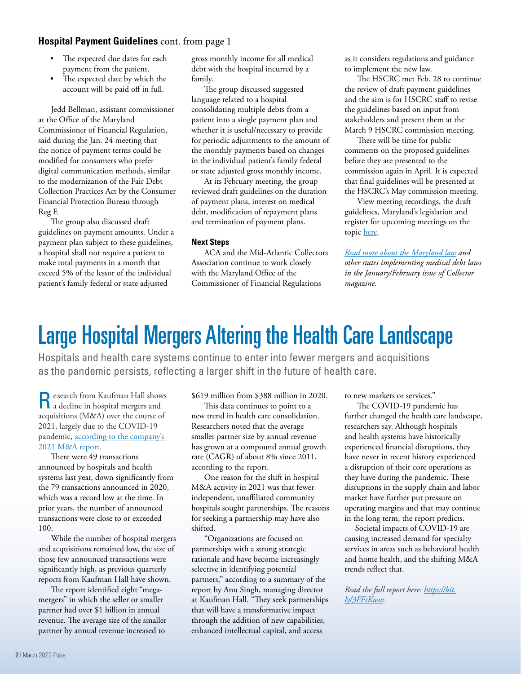#### **Hospital Payment Guidelines** cont. from page 1

- The expected due dates for each payment from the patient.
- The expected date by which the account will be paid off in full.

Jedd Bellman, assistant commissioner at the Office of the Maryland Commissioner of Financial Regulation, said during the Jan. 24 meeting that the notice of payment terms could be modified for consumers who prefer digital communication methods, similar to the modernization of the Fair Debt Collection Practices Act by the Consumer Financial Protection Bureau through Reg F.

The group also discussed draft guidelines on payment amounts. Under a payment plan subject to these guidelines, a hospital shall not require a patient to make total payments in a month that exceed 5% of the lessor of the individual patient's family federal or state adjusted

gross monthly income for all medical debt with the hospital incurred by a family.

The group discussed suggested language related to a hospital consolidating multiple debts from a patient into a single payment plan and whether it is useful/necessary to provide for periodic adjustments to the amount of the monthly payments based on changes in the individual patient's family federal or state adjusted gross monthly income.

At its February meeting, the group reviewed draft guidelines on the duration of payment plans, interest on medical debt, modification of repayment plans and termination of payment plans.

#### **Next Steps**

ACA and the Mid-Atlantic Collectors Association continue to work closely with the Maryland Office of the Commissioner of Financial Regulations

as it considers regulations and guidance to implement the new law.

The HSCRC met Feb. 28 to continue the review of draft payment guidelines and the aim is for HSCRC staff to revise the guidelines based on input from stakeholders and present them at the March 9 HSCRC commission meeting.

There will be time for public comments on the proposed guidelines before they are presented to the commission again in April. It is expected that final guidelines will be presented at the HSCRC's May commission meeting.

View meeting recordings, the draft guidelines, Maryland's legislation and register for upcoming meetings on the topic here.

*Read more about the Maryland law and other states implementing medical debt laws in the January/February issue of Collector magazine.*

### Large Hospital Mergers Altering the Health Care Landscape

Hospitals and health care systems continue to enter into fewer mergers and acquisitions as the pandemic persists, reflecting a larger shift in the future of health care.

Research from Kaufman Hall show<br>a decline in hospital mergers and esearch from Kaufman Hall shows acquisitions (M&A) over the course of 2021, largely due to the COVID-19 pandemic, according to the company's 2021 M&A report.

There were 49 transactions announced by hospitals and health systems last year, down significantly from the 79 transactions announced in 2020, which was a record low at the time. In prior years, the number of announced transactions were close to or exceeded 100.

While the number of hospital mergers and acquisitions remained low, the size of those few announced transactions were significantly high, as previous quarterly reports from Kaufman Hall have shown.

The report identified eight "megamergers" in which the seller or smaller partner had over \$1 billion in annual revenue. The average size of the smaller partner by annual revenue increased to

\$619 million from \$388 million in 2020.

This data continues to point to a new trend in health care consolidation. Researchers noted that the average smaller partner size by annual revenue has grown at a compound annual growth rate (CAGR) of about 8% since 2011, according to the report.

One reason for the shift in hospital M&A activity in 2021 was that fewer independent, unaffiliated community hospitals sought partnerships. The reasons for seeking a partnership may have also shifted.

"Organizations are focused on partnerships with a strong strategic rationale and have become increasingly selective in identifying potential partners," according to a summary of the report by Anu Singh, managing director at Kaufman Hall. "They seek partnerships that will have a transformative impact through the addition of new capabilities, enhanced intellectual capital, and access

to new markets or services."

The COVID-19 pandemic has further changed the health care landscape, researchers say. Although hospitals and health systems have historically experienced financial disruptions, they have never in recent history experienced a disruption of their core operations as they have during the pandemic. These disruptions in the supply chain and labor market have further put pressure on operating margins and that may continue in the long term, the report predicts.

 Societal impacts of COVID-19 are causing increased demand for specialty services in areas such as behavioral health and home health, and the shifting M&A trends reflect that.

*Read the full report here: https://bit. ly/3FFiKww.*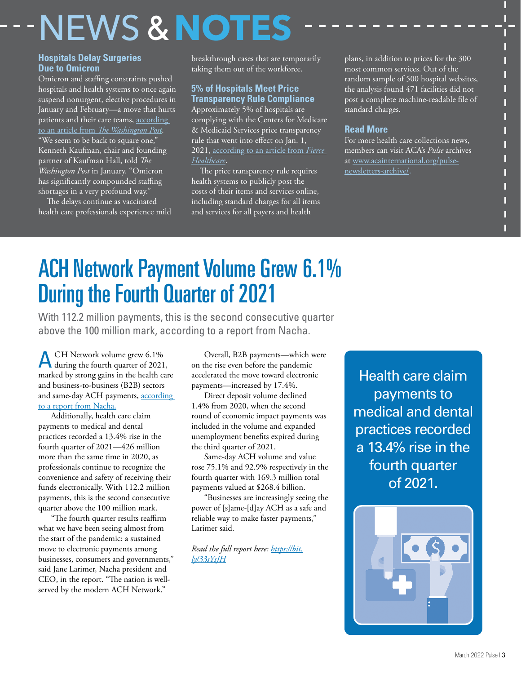# NEWS **&NOTES**

#### **Hospitals Delay Surgeries Due to Omicron**

Omicron and staffing constraints pushed hospitals and health systems to once again suspend nonurgent, elective procedures in January and February—a move that hurts patients and their care teams, according to an article from *The Washington Post*. "We seem to be back to square one,"

Kenneth Kaufman, chair and founding partner of Kaufman Hall, told *The Washington Post* in January. "Omicron has significantly compounded staffing shortages in a very profound way."

 The delays continue as vaccinated health care professionals experience mild breakthrough cases that are temporarily taking them out of the workforce.

#### **5% of Hospitals Meet Price Transparency Rule Compliance**

Approximately 5% of hospitals are complying with the Centers for Medicare & Medicaid Services price transparency rule that went into effect on Jan. 1, 2021, according to an article from *Fierce Healthcare*.

 The price transparency rule requires health systems to publicly post the costs of their items and services online, including standard charges for all items and services for all payers and health

plans, in addition to prices for the 300 most common services. Out of the random sample of 500 hospital websites, the analysis found 471 facilities did not post a complete machine-readable file of standard charges.

П П

#### **Read More**

For more health care collections news, members can visit ACA's *Pulse* archives at www.acainternational.org/pulsenewsletters-archive/.

## ACH Network Payment Volume Grew 6.1% During the Fourth Quarter of 2021

With 112.2 million payments, this is the second consecutive quarter above the 100 million mark, according to a report from Nacha.

A CH Network volume grew 6.1% during the fourth quarter of 2021, marked by strong gains in the health care and business-to-business (B2B) sectors and same-day ACH payments, according to a report from Nacha.

Additionally, health care claim payments to medical and dental practices recorded a 13.4% rise in the fourth quarter of 2021—426 million more than the same time in 2020, as professionals continue to recognize the convenience and safety of receiving their funds electronically. With 112.2 million payments, this is the second consecutive quarter above the 100 million mark.

"The fourth quarter results reaffirm what we have been seeing almost from the start of the pandemic: a sustained move to electronic payments among businesses, consumers and governments," said Jane Larimer, Nacha president and CEO, in the report. "The nation is wellserved by the modern ACH Network."

Overall, B2B payments—which were on the rise even before the pandemic accelerated the move toward electronic payments—increased by 17.4%.

Direct deposit volume declined 1.4% from 2020, when the second round of economic impact payments was included in the volume and expanded unemployment benefits expired during the third quarter of 2021.

Same-day ACH volume and value rose 75.1% and 92.9% respectively in the fourth quarter with 169.3 million total payments valued at \$268.4 billion.

"Businesses are increasingly seeing the power of [s]ame-[d]ay ACH as a safe and reliable way to make faster payments," Larimer said.

*Read the full report here: https://bit. ly/33sYsJH*

Health care claim payments to medical and dental practices recorded a 13.4% rise in the fourth quarter of 2021.